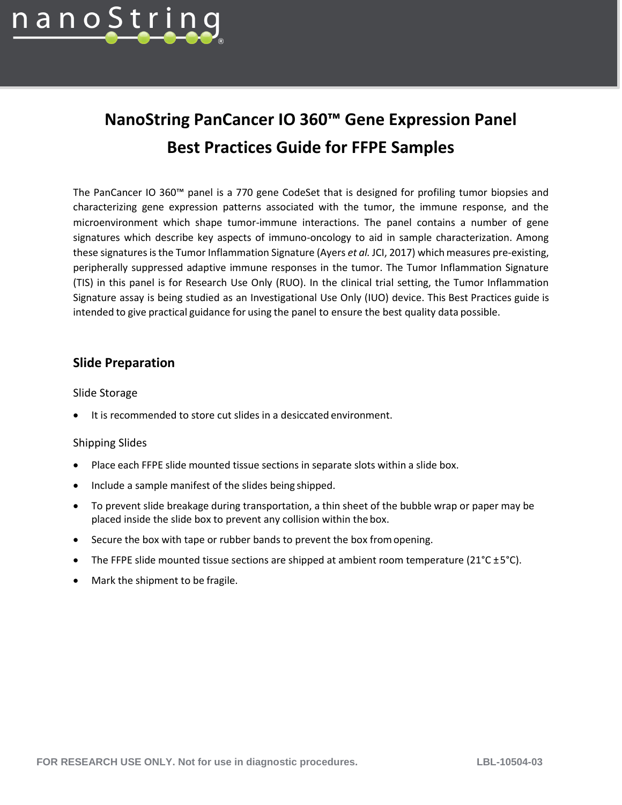

# **NanoString PanCancer IO 360™ Gene Expression Panel Best Practices Guide for FFPE Samples**

The PanCancer IO 360™ panel is a 770 gene CodeSet that is designed for profiling tumor biopsies and characterizing gene expression patterns associated with the tumor, the immune response, and the microenvironment which shape tumor-immune interactions. The panel contains a number of gene signatures which describe key aspects of immuno-oncology to aid in sample characterization. Among these signatures is the Tumor Inflammation Signature (Ayers *et al.* JCI, 2017) which measures pre-existing, peripherally suppressed adaptive immune responses in the tumor. The Tumor Inflammation Signature (TIS) in this panel is for Research Use Only (RUO). In the clinical trial setting, the Tumor Inflammation Signature assay is being studied as an Investigational Use Only (IUO) device. This Best Practices guide is intended to give practical guidance for using the panel to ensure the best quality data possible.

## **Slide Preparation**

#### Slide Storage

It is recommended to store cut slides in a desiccated environment.

#### Shipping Slides

- Place each FFPE slide mounted tissue sections in separate slots within a slide box.
- Include a sample manifest of the slides being shipped.
- To prevent slide breakage during transportation, a thin sheet of the bubble wrap or paper may be placed inside the slide box to prevent any collision within the box.
- Secure the box with tape or rubber bands to prevent the box fromopening.
- The FFPE slide mounted tissue sections are shipped at ambient room temperature ( $21^{\circ}C \pm 5^{\circ}C$ ).
- Mark the shipment to be fragile.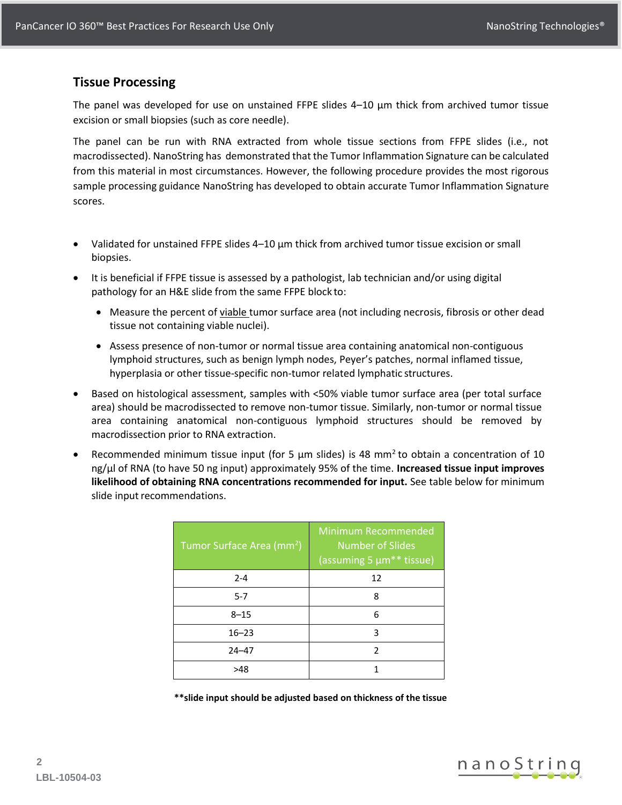# **Tissue Processing**

The panel was developed for use on unstained FFPE slides 4–10 µm thick from archived tumor tissue excision or small biopsies (such as core needle).

The panel can be run with RNA extracted from whole tissue sections from FFPE slides (i.e., not macrodissected). NanoString has demonstrated that the Tumor Inflammation Signature can be calculated from this material in most circumstances. However, the following procedure provides the most rigorous sample processing guidance NanoString has developed to obtain accurate Tumor Inflammation Signature scores.

- Validated for unstained FFPE slides 4–10 µm thick from archived tumor tissue excision or small biopsies.
- It is beneficial if FFPE tissue is assessed by a pathologist, lab technician and/or using digital pathology for an H&E slide from the same FFPE block to:
	- Measure the percent of viable tumor surface area (not including necrosis, fibrosis or other dead tissue not containing viable nuclei).
	- Assess presence of non-tumor or normal tissue area containing anatomical non-contiguous lymphoid structures, such as benign lymph nodes, Peyer's patches, normal inflamed tissue, hyperplasia or other tissue-specific non-tumor related lymphatic structures.
- Based on histological assessment, samples with <50% viable tumor surface area (per total surface area) should be macrodissected to remove non-tumor tissue. Similarly, non-tumor or normal tissue area containing anatomical non-contiguous lymphoid structures should be removed by macrodissection prior to RNA extraction.
- Recommended minimum tissue input (for 5  $\mu$ m slides) is 48 mm<sup>2</sup> to obtain a concentration of 10 ng/µl of RNA (to have 50 ng input) approximately 95% of the time. **Increased tissue input improves likelihood of obtaining RNA concentrations recommended for input.** See table below for minimum slide input recommendations.

| Tumor Surface Area (mm <sup>2</sup> ) | <b>Minimum Recommended</b><br><b>Number of Slides</b><br>(assuming 5 µm <sup>**</sup> tissue) |
|---------------------------------------|-----------------------------------------------------------------------------------------------|
| $2 - 4$                               | 12                                                                                            |
| $5 - 7$                               | 8                                                                                             |
| $8 - 15$                              | 6                                                                                             |
| $16 - 23$                             | 3                                                                                             |
| $24 - 47$                             | $\mathfrak z$                                                                                 |
| >48                                   |                                                                                               |

**\*\*slide input should be adjusted based on thickness of the tissue**

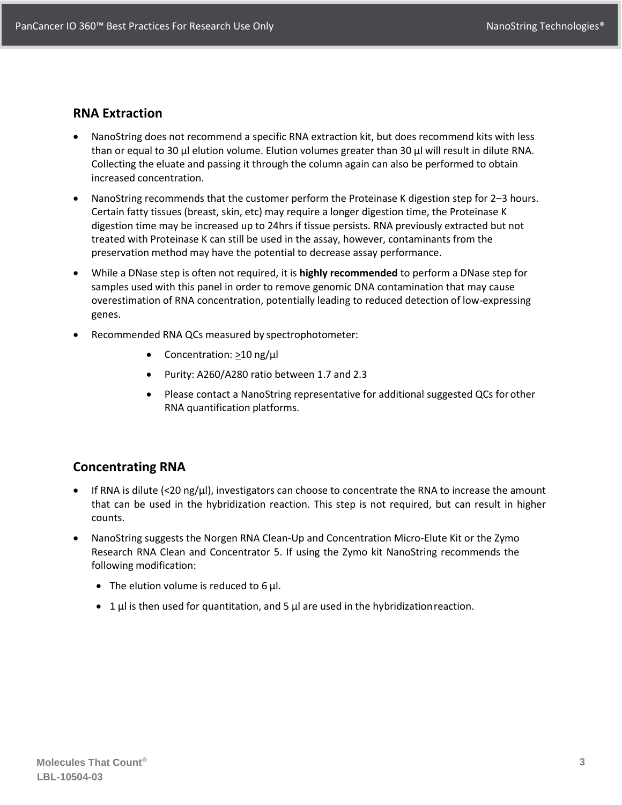#### **RNA Extraction**

- NanoString does not recommend a specific RNA extraction kit, but does recommend kits with less than or equal to 30 µl elution volume. Elution volumes greater than 30 µl will result in dilute RNA. Collecting the eluate and passing it through the column again can also be performed to obtain increased concentration.
- NanoString recommends that the customer perform the Proteinase K digestion step for 2–3 hours. Certain fatty tissues (breast, skin, etc) may require a longer digestion time, the Proteinase K digestion time may be increased up to 24hrs if tissue persists. RNA previously extracted but not treated with Proteinase K can still be used in the assay, however, contaminants from the preservation method may have the potential to decrease assay performance.
- While a DNase step is often not required, it is **highly recommended** to perform a DNase step for samples used with this panel in order to remove genomic DNA contamination that may cause overestimation of RNA concentration, potentially leading to reduced detection of low-expressing genes.
- Recommended RNA QCs measured by spectrophotometer:
	- Concentration: >10 ng/µl
	- Purity: A260/A280 ratio between 1.7 and 2.3
	- Please contact a NanoString representative for additional suggested QCs forother RNA quantification platforms.

## **Concentrating RNA**

- If RNA is dilute (<20 ng/µl), investigators can choose to concentrate the RNA to increase the amount that can be used in the hybridization reaction. This step is not required, but can result in higher counts.
- NanoString suggests the Norgen RNA Clean-Up and Concentration Micro-Elute Kit or the Zymo Research RNA Clean and Concentrator 5. If using the Zymo kit NanoString recommends the following modification:
	- The elution volume is reduced to 6 µl.
	- 1  $\mu$  is then used for quantitation, and 5  $\mu$  are used in the hybridization reaction.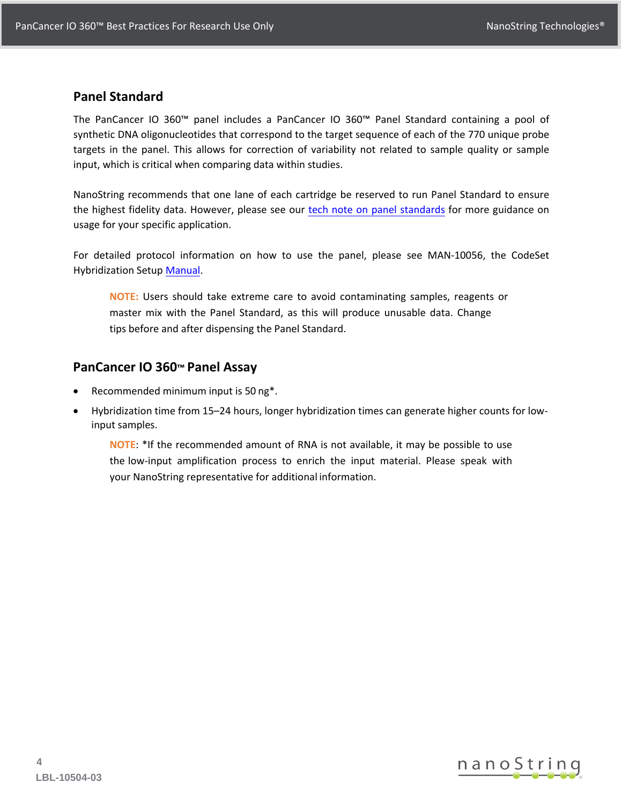#### **Panel Standard**

The PanCancer IO 360™ panel includes a PanCancer IO 360™ Panel Standard containing a pool of synthetic DNA oligonucleotides that correspond to the target sequence of each of the 770 unique probe targets in the panel. This allows for correction of variability not related to sample quality or sample input, which is critical when comparing data within studies.

NanoString recommends that one lane of each cartridge be reserved to run Panel Standard to ensure the highest fidelity data. However, please see our [tech note on panel standards](https://www.nanostring.com/support-documents/best-practices-for-clinical-research-biomarker-studies/) for more guidance on usage for your specific application.

For detailed protocol information on how to use the panel, please see MAN-10056, the CodeSet Hybridization Setup [Manual](https://www.nanostring.com/wp-content/uploads/2021/03/MAN-10056-05-Gene-Expression-Hybridization-Protocol.pdf).

**NOTE:** Users should take extreme care to avoid contaminating samples, reagents or master mix with the Panel Standard, as this will produce unusable data. Change tips before and after dispensing the Panel Standard.

## **PanCancer IO 360™ Panel Assay**

- Recommended minimum input is 50 ng\*.
- Hybridization time from 15–24 hours, longer hybridization times can generate higher counts for lowinput samples.

**NOTE**: \*If the recommended amount of RNA is not available, it may be possible to use the low-input amplification process to enrich the input material. Please speak with your NanoString representative for additional information.